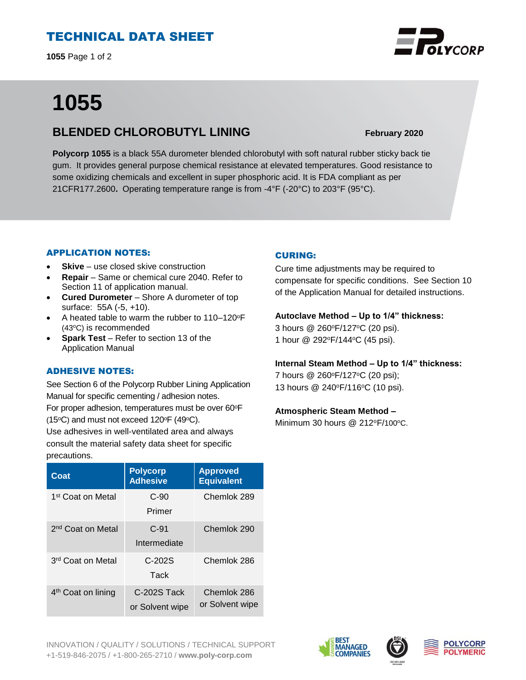# TECHNICAL DATA SHEET

**1055** Page 1 of 2

# **1055**

# **BLENDED CHLOROBUTYL LINING February 2020**

**Polycorp 1055** is a black 55A durometer blended chlorobutyl with soft natural rubber sticky back tie gum. It provides general purpose chemical resistance at elevated temperatures. Good resistance to some oxidizing chemicals and excellent in super phosphoric acid. It is FDA compliant as per 21CFR177.2600**.** Operating temperature range is from -4°F (-20°C) to 203°F (95°C).

### APPLICATION NOTES:

- **Skive** use closed skive construction
- **Repair**  Same or chemical cure 2040. Refer to Section 11 of application manual.
- **Cured Durometer**  Shore A durometer of top surface: 55A (-5, +10).
- A heated table to warm the rubber to 110–120<sup>o</sup>F  $(43^{\circ}C)$  is recommended
- **Spark Test**  Refer to section 13 of the Application Manual

## ADHESIVE NOTES:

See Section 6 of the Polycorp Rubber Lining Application Manual for specific cementing / adhesion notes. For proper adhesion, temperatures must be over 60°F (15 $\textdegree$ C) and must not exceed 120 $\textdegree$ F (49 $\textdegree$ C).

Use adhesives in well-ventilated area and always consult the material safety data sheet for specific precautions.

| Coat                           | <b>Polycorp</b><br><b>Adhesive</b> | <b>Approved</b><br><b>Equivalent</b> |
|--------------------------------|------------------------------------|--------------------------------------|
| 1 <sup>st</sup> Coat on Metal  | $C-90$<br>Primer                   | Chemlok 289                          |
| 2 <sup>nd</sup> Coat on Metal  | $C-91$<br>Intermediate             | Chemlok 290                          |
| 3 <sup>rd</sup> Coat on Metal  | $C-202S$<br>Tack                   | Chemlok 286                          |
| 4 <sup>th</sup> Coat on lining | C-202S Tack<br>or Solvent wipe     | Chemlok 286<br>or Solvent wipe       |

## CURING:

Cure time adjustments may be required to compensate for specific conditions. See Section 10 of the Application Manual for detailed instructions.

### **Autoclave Method – Up to 1/4" thickness:**

3 hours @ 260°F/127°C (20 psi). 1 hour @ 292<sup>o</sup>F/144<sup>o</sup>C (45 psi).

#### **Internal Steam Method – Up to 1/4" thickness:**

7 hours @ 260°F/127°C (20 psi); 13 hours @ 240°F/116°C (10 psi).

### **Atmospheric Steam Method –**

Minimum 30 hours  $@$  212°F/100°C.